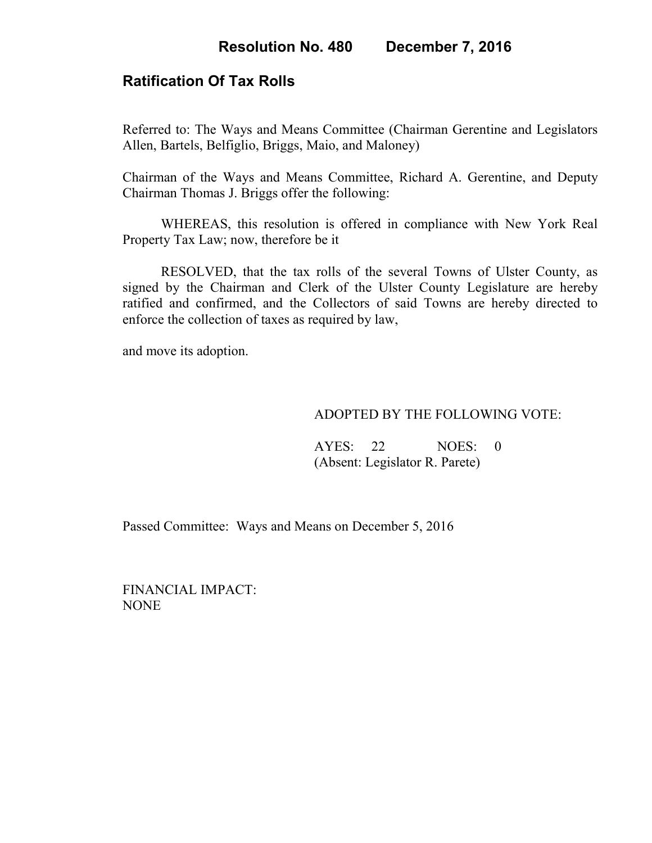## **Ratification Of Tax Rolls**

Referred to: The Ways and Means Committee (Chairman Gerentine and Legislators Allen, Bartels, Belfiglio, Briggs, Maio, and Maloney)

Chairman of the Ways and Means Committee, Richard A. Gerentine, and Deputy Chairman Thomas J. Briggs offer the following:

WHEREAS, this resolution is offered in compliance with New York Real Property Tax Law; now, therefore be it

RESOLVED, that the tax rolls of the several Towns of Ulster County, as signed by the Chairman and Clerk of the Ulster County Legislature are hereby ratified and confirmed, and the Collectors of said Towns are hereby directed to enforce the collection of taxes as required by law,

and move its adoption.

## ADOPTED BY THE FOLLOWING VOTE:

AYES: 22 NOES: 0 (Absent: Legislator R. Parete)

Passed Committee: Ways and Means on December 5, 2016

FINANCIAL IMPACT: NONE